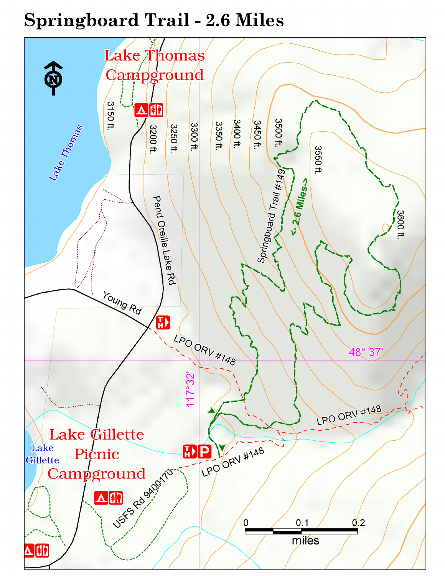# **Springboard Trail - 2.6 Miles**